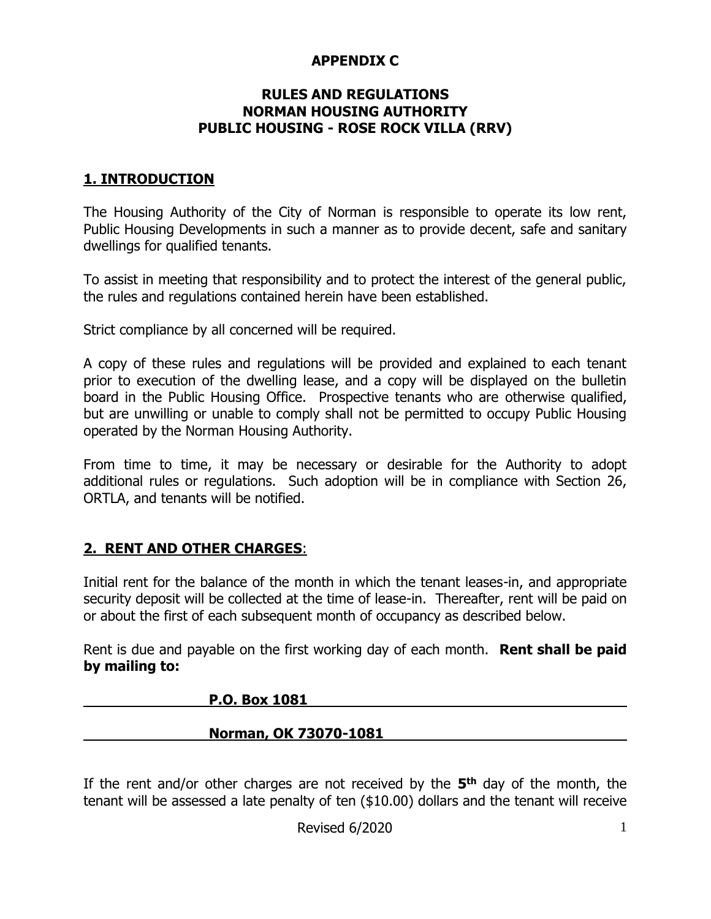### **APPENDIX C**

#### **RULES AND REGULATIONS NORMAN HOUSING AUTHORITY PUBLIC HOUSING - ROSE ROCK VILLA (RRV)**

### **1. INTRODUCTION**

The Housing Authority of the City of Norman is responsible to operate its low rent, Public Housing Developments in such a manner as to provide decent, safe and sanitary dwellings for qualified tenants.

To assist in meeting that responsibility and to protect the interest of the general public, the rules and regulations contained herein have been established.

Strict compliance by all concerned will be required.

A copy of these rules and regulations will be provided and explained to each tenant prior to execution of the dwelling lease, and a copy will be displayed on the bulletin board in the Public Housing Office. Prospective tenants who are otherwise qualified, but are unwilling or unable to comply shall not be permitted to occupy Public Housing operated by the Norman Housing Authority.

From time to time, it may be necessary or desirable for the Authority to adopt additional rules or regulations. Such adoption will be in compliance with Section 26, ORTLA, and tenants will be notified.

## **2. RENT AND OTHER CHARGES**:

Initial rent for the balance of the month in which the tenant leases-in, and appropriate security deposit will be collected at the time of lease-in. Thereafter, rent will be paid on or about the first of each subsequent month of occupancy as described below.

Rent is due and payable on the first working day of each month. **Rent shall be paid by mailing to:**

#### **P.O. Box 1081**

#### **Norman, OK 73070-1081**

If the rent and/or other charges are not received by the **5 th** day of the month, the tenant will be assessed a late penalty of ten (\$10.00) dollars and the tenant will receive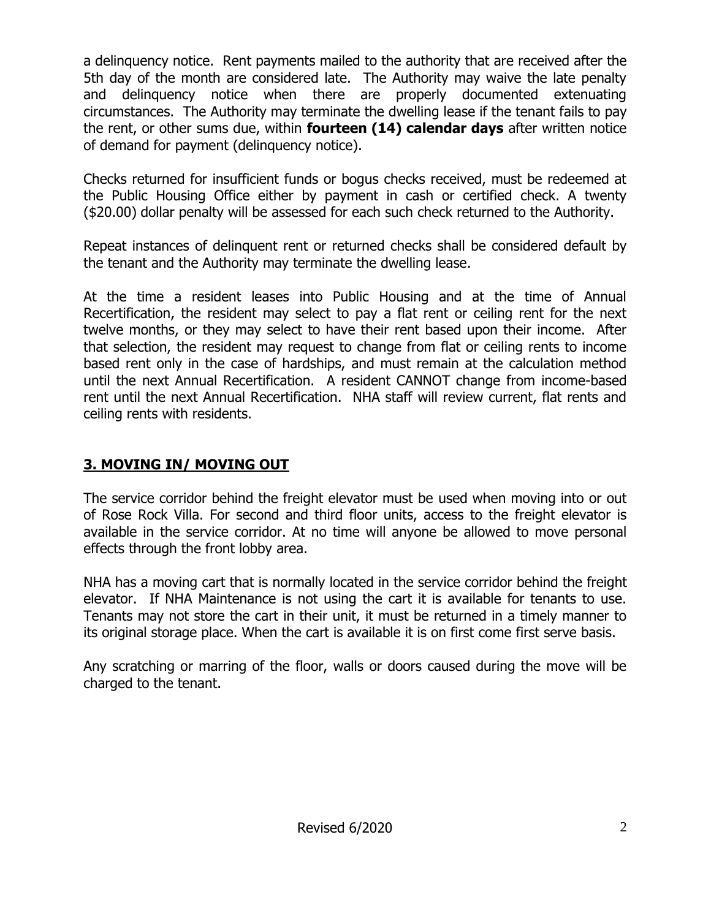a delinquency notice. Rent payments mailed to the authority that are received after the 5th day of the month are considered late. The Authority may waive the late penalty and delinquency notice when there are properly documented extenuating circumstances. The Authority may terminate the dwelling lease if the tenant fails to pay the rent, or other sums due, within **fourteen (14) calendar days** after written notice of demand for payment (delinquency notice).

Checks returned for insufficient funds or bogus checks received, must be redeemed at the Public Housing Office either by payment in cash or certified check. A twenty (\$20.00) dollar penalty will be assessed for each such check returned to the Authority.

Repeat instances of delinquent rent or returned checks shall be considered default by the tenant and the Authority may terminate the dwelling lease.

At the time a resident leases into Public Housing and at the time of Annual Recertification, the resident may select to pay a flat rent or ceiling rent for the next twelve months, or they may select to have their rent based upon their income. After that selection, the resident may request to change from flat or ceiling rents to income based rent only in the case of hardships, and must remain at the calculation method until the next Annual Recertification. A resident CANNOT change from income-based rent until the next Annual Recertification. NHA staff will review current, flat rents and ceiling rents with residents.

# **3. MOVING IN/ MOVING OUT**

The service corridor behind the freight elevator must be used when moving into or out of Rose Rock Villa. For second and third floor units, access to the freight elevator is available in the service corridor. At no time will anyone be allowed to move personal effects through the front lobby area.

NHA has a moving cart that is normally located in the service corridor behind the freight elevator. If NHA Maintenance is not using the cart it is available for tenants to use. Tenants may not store the cart in their unit, it must be returned in a timely manner to its original storage place. When the cart is available it is on first come first serve basis.

Any scratching or marring of the floor, walls or doors caused during the move will be charged to the tenant.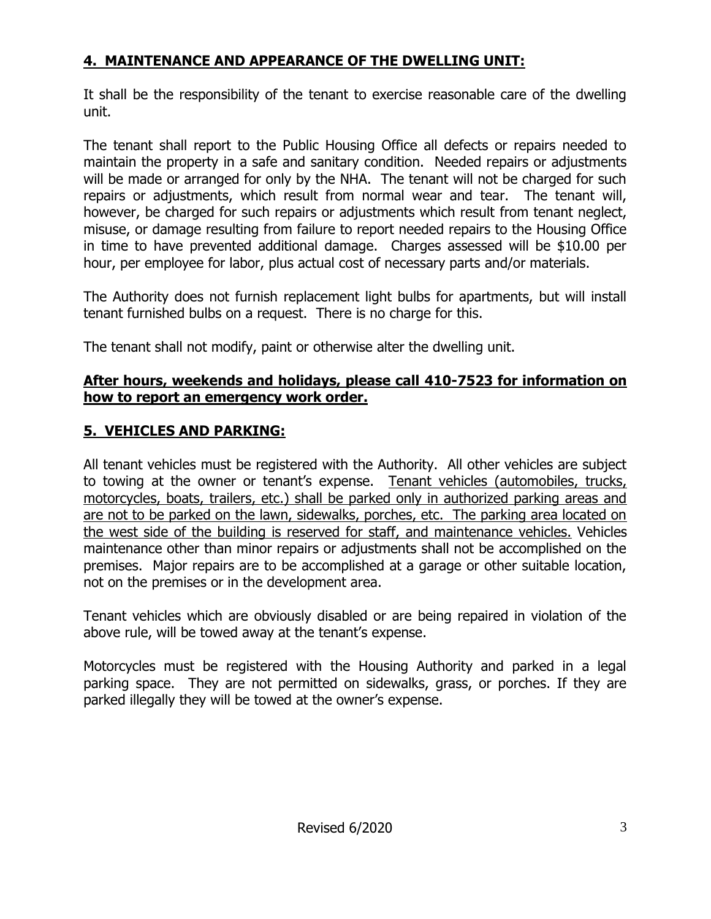# **4. MAINTENANCE AND APPEARANCE OF THE DWELLING UNIT:**

It shall be the responsibility of the tenant to exercise reasonable care of the dwelling unit.

The tenant shall report to the Public Housing Office all defects or repairs needed to maintain the property in a safe and sanitary condition. Needed repairs or adjustments will be made or arranged for only by the NHA. The tenant will not be charged for such repairs or adjustments, which result from normal wear and tear. The tenant will, however, be charged for such repairs or adjustments which result from tenant neglect, misuse, or damage resulting from failure to report needed repairs to the Housing Office in time to have prevented additional damage. Charges assessed will be \$10.00 per hour, per employee for labor, plus actual cost of necessary parts and/or materials.

The Authority does not furnish replacement light bulbs for apartments, but will install tenant furnished bulbs on a request. There is no charge for this.

The tenant shall not modify, paint or otherwise alter the dwelling unit.

## **After hours, weekends and holidays, please call 410-7523 for information on how to report an emergency work order.**

# **5. VEHICLES AND PARKING:**

All tenant vehicles must be registered with the Authority. All other vehicles are subject to towing at the owner or tenant's expense. Tenant vehicles (automobiles, trucks, motorcycles, boats, trailers, etc.) shall be parked only in authorized parking areas and are not to be parked on the lawn, sidewalks, porches, etc. The parking area located on the west side of the building is reserved for staff, and maintenance vehicles. Vehicles maintenance other than minor repairs or adjustments shall not be accomplished on the premises. Major repairs are to be accomplished at a garage or other suitable location, not on the premises or in the development area.

Tenant vehicles which are obviously disabled or are being repaired in violation of the above rule, will be towed away at the tenant's expense.

Motorcycles must be registered with the Housing Authority and parked in a legal parking space. They are not permitted on sidewalks, grass, or porches. If they are parked illegally they will be towed at the owner's expense.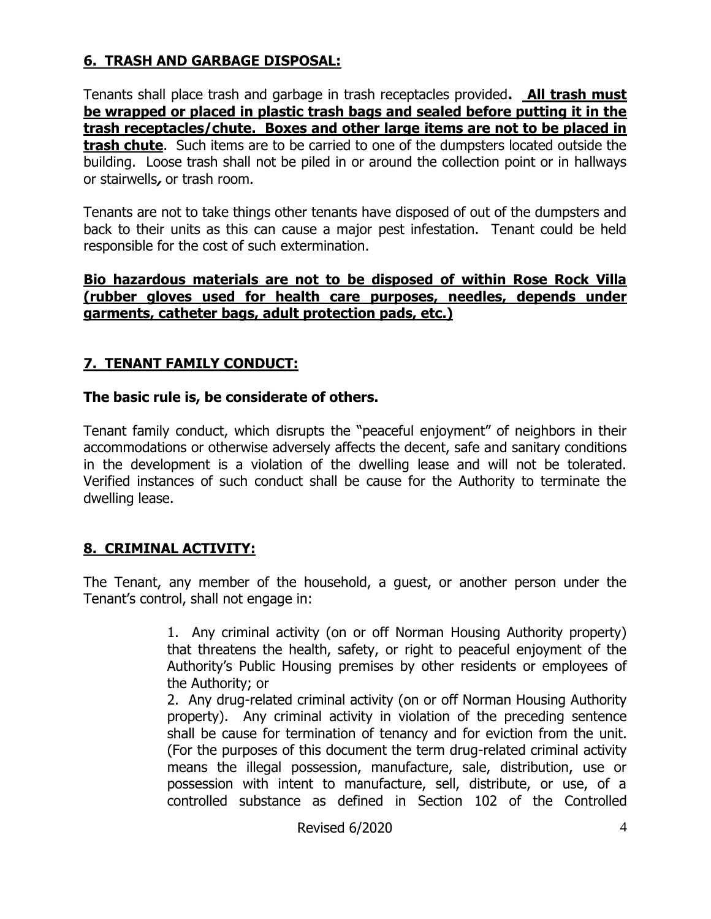## **6. TRASH AND GARBAGE DISPOSAL:**

Tenants shall place trash and garbage in trash receptacles provided**. All trash must be wrapped or placed in plastic trash bags and sealed before putting it in the trash receptacles/chute. Boxes and other large items are not to be placed in trash chute**. Such items are to be carried to one of the dumpsters located outside the building. Loose trash shall not be piled in or around the collection point or in hallways or stairwells**,** or trash room.

Tenants are not to take things other tenants have disposed of out of the dumpsters and back to their units as this can cause a major pest infestation. Tenant could be held responsible for the cost of such extermination.

#### **Bio hazardous materials are not to be disposed of within Rose Rock Villa (rubber gloves used for health care purposes, needles, depends under garments, catheter bags, adult protection pads, etc.)**

## **7. TENANT FAMILY CONDUCT:**

### **The basic rule is, be considerate of others.**

Tenant family conduct, which disrupts the "peaceful enjoyment" of neighbors in their accommodations or otherwise adversely affects the decent, safe and sanitary conditions in the development is a violation of the dwelling lease and will not be tolerated. Verified instances of such conduct shall be cause for the Authority to terminate the dwelling lease.

## **8. CRIMINAL ACTIVITY:**

The Tenant, any member of the household, a guest, or another person under the Tenant's control, shall not engage in:

> 1. Any criminal activity (on or off Norman Housing Authority property) that threatens the health, safety, or right to peaceful enjoyment of the Authority's Public Housing premises by other residents or employees of the Authority; or

> 2. Any drug-related criminal activity (on or off Norman Housing Authority property). Any criminal activity in violation of the preceding sentence shall be cause for termination of tenancy and for eviction from the unit. (For the purposes of this document the term drug-related criminal activity means the illegal possession, manufacture, sale, distribution, use or possession with intent to manufacture, sell, distribute, or use, of a controlled substance as defined in Section 102 of the Controlled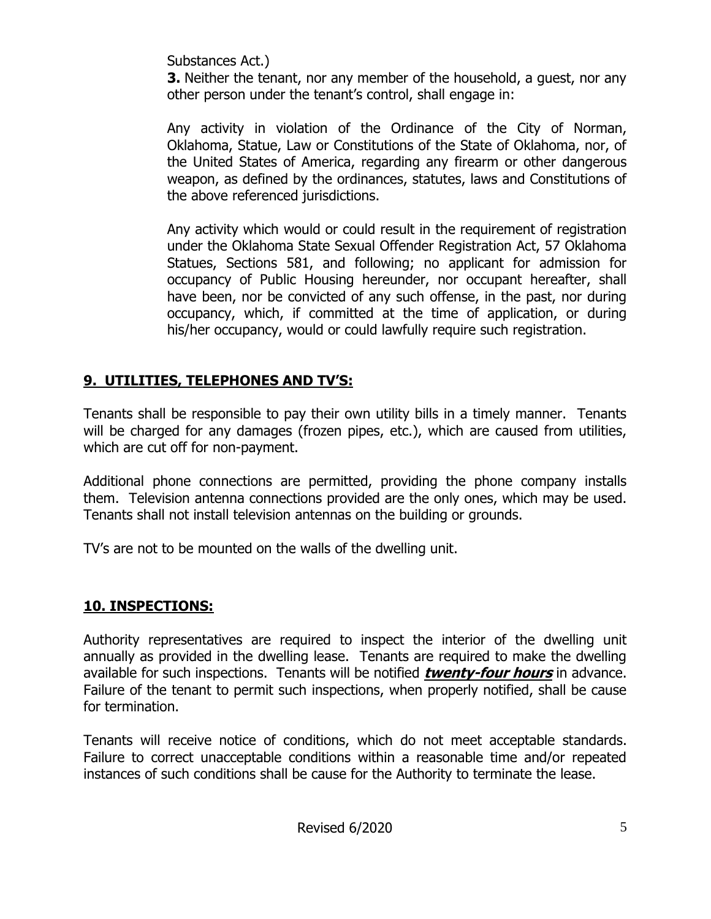Substances Act.)

**3.** Neither the tenant, nor any member of the household, a quest, nor any other person under the tenant's control, shall engage in:

Any activity in violation of the Ordinance of the City of Norman, Oklahoma, Statue, Law or Constitutions of the State of Oklahoma, nor, of the United States of America, regarding any firearm or other dangerous weapon, as defined by the ordinances, statutes, laws and Constitutions of the above referenced jurisdictions.

Any activity which would or could result in the requirement of registration under the Oklahoma State Sexual Offender Registration Act, 57 Oklahoma Statues, Sections 581, and following; no applicant for admission for occupancy of Public Housing hereunder, nor occupant hereafter, shall have been, nor be convicted of any such offense, in the past, nor during occupancy, which, if committed at the time of application, or during his/her occupancy, would or could lawfully require such registration.

# **9. UTILITIES, TELEPHONES AND TV'S:**

Tenants shall be responsible to pay their own utility bills in a timely manner. Tenants will be charged for any damages (frozen pipes, etc.), which are caused from utilities, which are cut off for non-payment.

Additional phone connections are permitted, providing the phone company installs them. Television antenna connections provided are the only ones, which may be used. Tenants shall not install television antennas on the building or grounds.

TV's are not to be mounted on the walls of the dwelling unit.

# **10. INSPECTIONS:**

Authority representatives are required to inspect the interior of the dwelling unit annually as provided in the dwelling lease. Tenants are required to make the dwelling available for such inspections. Tenants will be notified **twenty-four hours** in advance. Failure of the tenant to permit such inspections, when properly notified, shall be cause for termination.

Tenants will receive notice of conditions, which do not meet acceptable standards. Failure to correct unacceptable conditions within a reasonable time and/or repeated instances of such conditions shall be cause for the Authority to terminate the lease.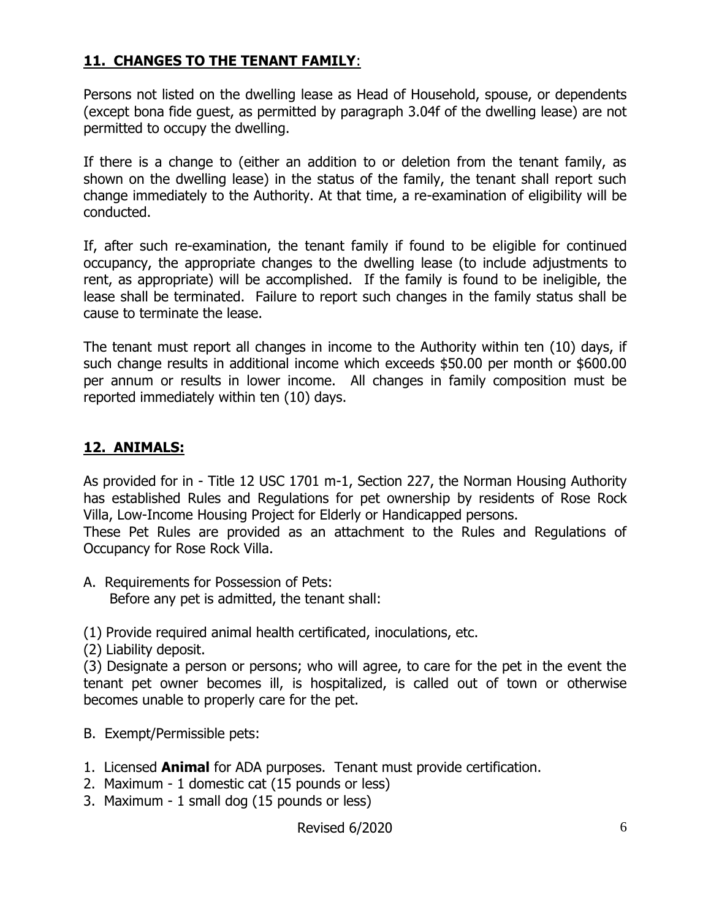## **11. CHANGES TO THE TENANT FAMILY**:

Persons not listed on the dwelling lease as Head of Household, spouse, or dependents (except bona fide guest, as permitted by paragraph 3.04f of the dwelling lease) are not permitted to occupy the dwelling.

If there is a change to (either an addition to or deletion from the tenant family, as shown on the dwelling lease) in the status of the family, the tenant shall report such change immediately to the Authority. At that time, a re-examination of eligibility will be conducted.

If, after such re-examination, the tenant family if found to be eligible for continued occupancy, the appropriate changes to the dwelling lease (to include adjustments to rent, as appropriate) will be accomplished. If the family is found to be ineligible, the lease shall be terminated. Failure to report such changes in the family status shall be cause to terminate the lease.

The tenant must report all changes in income to the Authority within ten (10) days, if such change results in additional income which exceeds \$50.00 per month or \$600.00 per annum or results in lower income. All changes in family composition must be reported immediately within ten (10) days.

### **12. ANIMALS:**

As provided for in - Title 12 USC 1701 m-1, Section 227, the Norman Housing Authority has established Rules and Regulations for pet ownership by residents of Rose Rock Villa, Low-Income Housing Project for Elderly or Handicapped persons.

These Pet Rules are provided as an attachment to the Rules and Regulations of Occupancy for Rose Rock Villa.

A. Requirements for Possession of Pets: Before any pet is admitted, the tenant shall:

(1) Provide required animal health certificated, inoculations, etc.

(2) Liability deposit.

(3) Designate a person or persons; who will agree, to care for the pet in the event the tenant pet owner becomes ill, is hospitalized, is called out of town or otherwise becomes unable to properly care for the pet.

- B. Exempt/Permissible pets:
- 1. Licensed **Animal** for ADA purposes. Tenant must provide certification.
- 2. Maximum 1 domestic cat (15 pounds or less)
- 3. Maximum 1 small dog (15 pounds or less)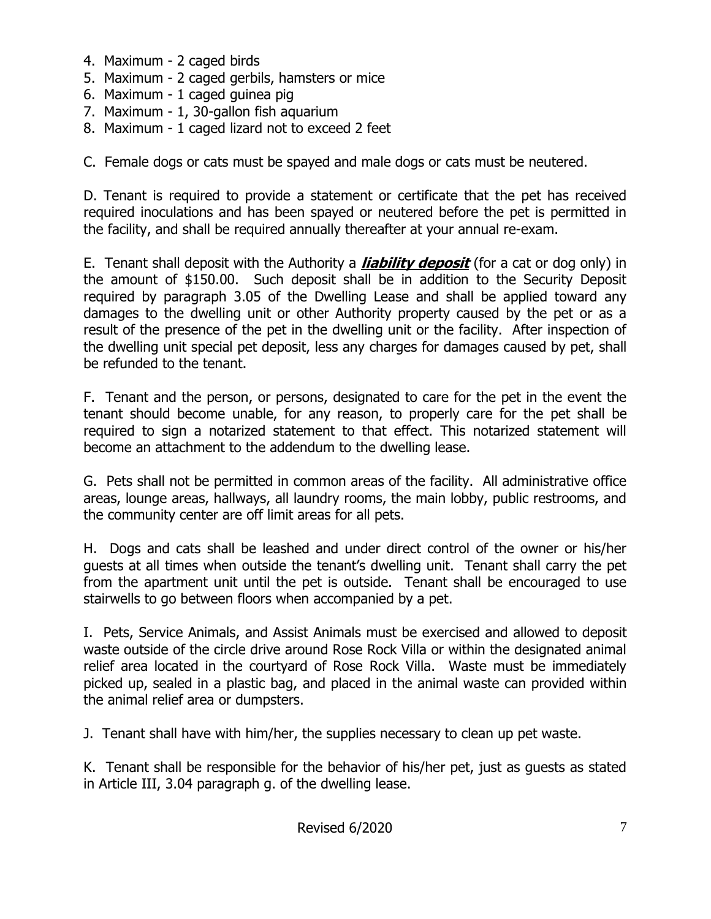- 4. Maximum 2 caged birds
- 5. Maximum 2 caged gerbils, hamsters or mice
- 6. Maximum 1 caged guinea pig
- 7. Maximum 1, 30-gallon fish aquarium
- 8. Maximum 1 caged lizard not to exceed 2 feet

C. Female dogs or cats must be spayed and male dogs or cats must be neutered.

D. Tenant is required to provide a statement or certificate that the pet has received required inoculations and has been spayed or neutered before the pet is permitted in the facility, and shall be required annually thereafter at your annual re-exam.

E. Tenant shall deposit with the Authority a **liability deposit** (for a cat or dog only) in the amount of \$150.00. Such deposit shall be in addition to the Security Deposit required by paragraph 3.05 of the Dwelling Lease and shall be applied toward any damages to the dwelling unit or other Authority property caused by the pet or as a result of the presence of the pet in the dwelling unit or the facility. After inspection of the dwelling unit special pet deposit, less any charges for damages caused by pet, shall be refunded to the tenant.

F. Tenant and the person, or persons, designated to care for the pet in the event the tenant should become unable, for any reason, to properly care for the pet shall be required to sign a notarized statement to that effect. This notarized statement will become an attachment to the addendum to the dwelling lease.

G. Pets shall not be permitted in common areas of the facility. All administrative office areas, lounge areas, hallways, all laundry rooms, the main lobby, public restrooms, and the community center are off limit areas for all pets.

H. Dogs and cats shall be leashed and under direct control of the owner or his/her guests at all times when outside the tenant's dwelling unit. Tenant shall carry the pet from the apartment unit until the pet is outside. Tenant shall be encouraged to use stairwells to go between floors when accompanied by a pet.

I. Pets, Service Animals, and Assist Animals must be exercised and allowed to deposit waste outside of the circle drive around Rose Rock Villa or within the designated animal relief area located in the courtyard of Rose Rock Villa. Waste must be immediately picked up, sealed in a plastic bag, and placed in the animal waste can provided within the animal relief area or dumpsters.

J. Tenant shall have with him/her, the supplies necessary to clean up pet waste.

K. Tenant shall be responsible for the behavior of his/her pet, just as guests as stated in Article III, 3.04 paragraph g. of the dwelling lease.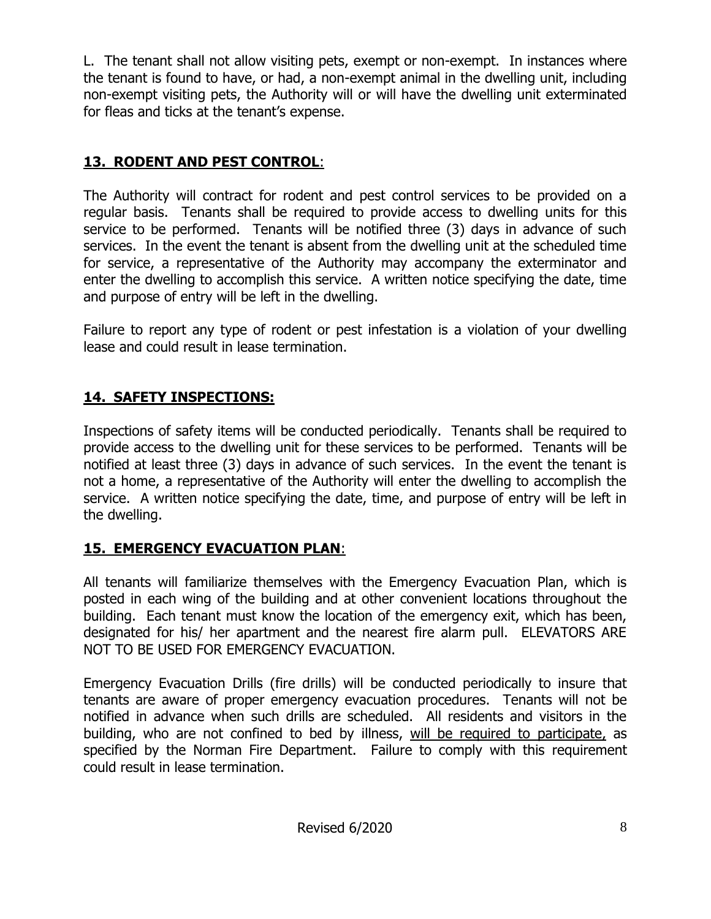L. The tenant shall not allow visiting pets, exempt or non-exempt. In instances where the tenant is found to have, or had, a non-exempt animal in the dwelling unit, including non-exempt visiting pets, the Authority will or will have the dwelling unit exterminated for fleas and ticks at the tenant's expense.

# **13. RODENT AND PEST CONTROL**:

The Authority will contract for rodent and pest control services to be provided on a regular basis. Tenants shall be required to provide access to dwelling units for this service to be performed. Tenants will be notified three (3) days in advance of such services. In the event the tenant is absent from the dwelling unit at the scheduled time for service, a representative of the Authority may accompany the exterminator and enter the dwelling to accomplish this service. A written notice specifying the date, time and purpose of entry will be left in the dwelling.

Failure to report any type of rodent or pest infestation is a violation of your dwelling lease and could result in lease termination.

# **14. SAFETY INSPECTIONS:**

Inspections of safety items will be conducted periodically. Tenants shall be required to provide access to the dwelling unit for these services to be performed. Tenants will be notified at least three (3) days in advance of such services. In the event the tenant is not a home, a representative of the Authority will enter the dwelling to accomplish the service. A written notice specifying the date, time, and purpose of entry will be left in the dwelling.

# **15. EMERGENCY EVACUATION PLAN**:

All tenants will familiarize themselves with the Emergency Evacuation Plan, which is posted in each wing of the building and at other convenient locations throughout the building. Each tenant must know the location of the emergency exit, which has been, designated for his/ her apartment and the nearest fire alarm pull. ELEVATORS ARE NOT TO BE USED FOR EMERGENCY EVACUATION.

Emergency Evacuation Drills (fire drills) will be conducted periodically to insure that tenants are aware of proper emergency evacuation procedures. Tenants will not be notified in advance when such drills are scheduled. All residents and visitors in the building, who are not confined to bed by illness, will be required to participate, as specified by the Norman Fire Department. Failure to comply with this requirement could result in lease termination.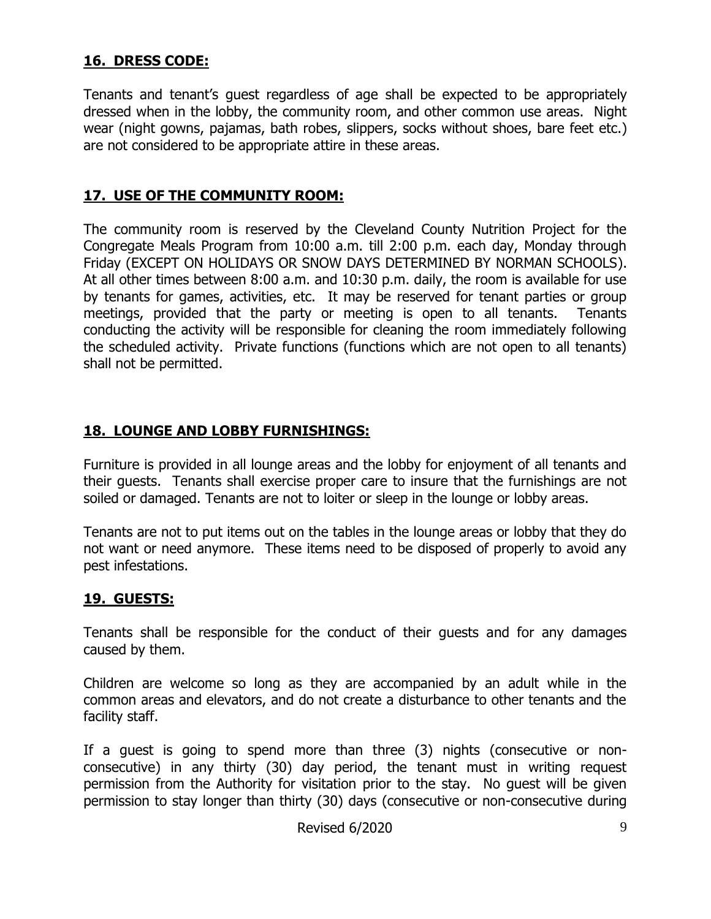## **16. DRESS CODE:**

Tenants and tenant's guest regardless of age shall be expected to be appropriately dressed when in the lobby, the community room, and other common use areas. Night wear (night gowns, pajamas, bath robes, slippers, socks without shoes, bare feet etc.) are not considered to be appropriate attire in these areas.

### **17. USE OF THE COMMUNITY ROOM:**

The community room is reserved by the Cleveland County Nutrition Project for the Congregate Meals Program from 10:00 a.m. till 2:00 p.m. each day, Monday through Friday (EXCEPT ON HOLIDAYS OR SNOW DAYS DETERMINED BY NORMAN SCHOOLS). At all other times between 8:00 a.m. and 10:30 p.m. daily, the room is available for use by tenants for games, activities, etc. It may be reserved for tenant parties or group meetings, provided that the party or meeting is open to all tenants. Tenants conducting the activity will be responsible for cleaning the room immediately following the scheduled activity. Private functions (functions which are not open to all tenants) shall not be permitted.

## **18. LOUNGE AND LOBBY FURNISHINGS:**

Furniture is provided in all lounge areas and the lobby for enjoyment of all tenants and their guests. Tenants shall exercise proper care to insure that the furnishings are not soiled or damaged. Tenants are not to loiter or sleep in the lounge or lobby areas.

Tenants are not to put items out on the tables in the lounge areas or lobby that they do not want or need anymore. These items need to be disposed of properly to avoid any pest infestations.

#### **19. GUESTS:**

Tenants shall be responsible for the conduct of their guests and for any damages caused by them.

Children are welcome so long as they are accompanied by an adult while in the common areas and elevators, and do not create a disturbance to other tenants and the facility staff.

If a guest is going to spend more than three (3) nights (consecutive or nonconsecutive) in any thirty (30) day period, the tenant must in writing request permission from the Authority for visitation prior to the stay. No guest will be given permission to stay longer than thirty (30) days (consecutive or non-consecutive during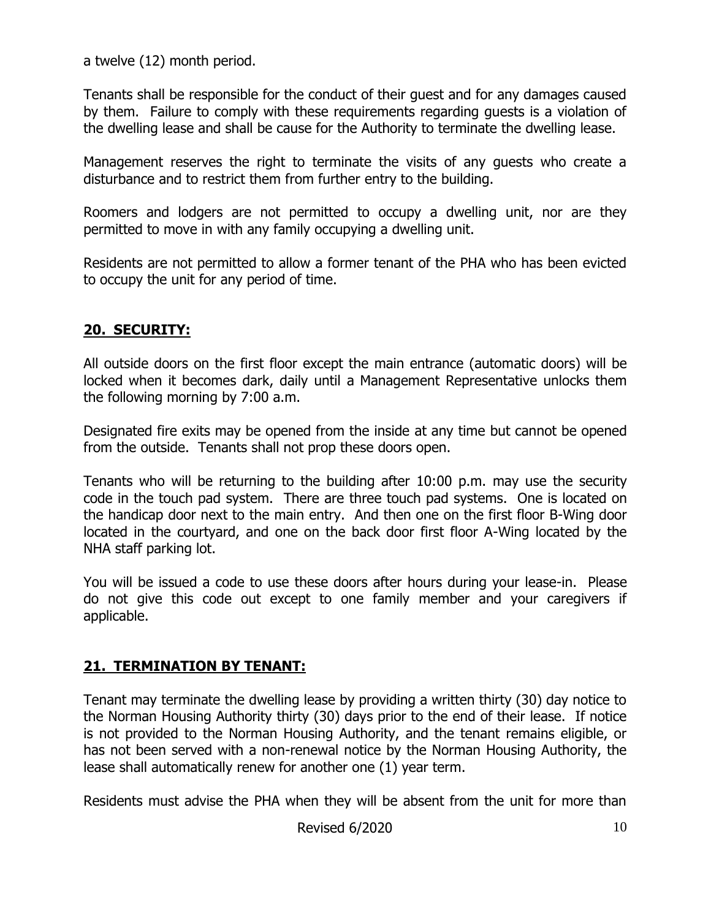a twelve (12) month period.

Tenants shall be responsible for the conduct of their guest and for any damages caused by them. Failure to comply with these requirements regarding guests is a violation of the dwelling lease and shall be cause for the Authority to terminate the dwelling lease.

Management reserves the right to terminate the visits of any guests who create a disturbance and to restrict them from further entry to the building.

Roomers and lodgers are not permitted to occupy a dwelling unit, nor are they permitted to move in with any family occupying a dwelling unit.

Residents are not permitted to allow a former tenant of the PHA who has been evicted to occupy the unit for any period of time.

# **20. SECURITY:**

All outside doors on the first floor except the main entrance (automatic doors) will be locked when it becomes dark, daily until a Management Representative unlocks them the following morning by 7:00 a.m.

Designated fire exits may be opened from the inside at any time but cannot be opened from the outside. Tenants shall not prop these doors open.

Tenants who will be returning to the building after 10:00 p.m. may use the security code in the touch pad system. There are three touch pad systems. One is located on the handicap door next to the main entry. And then one on the first floor B-Wing door located in the courtyard, and one on the back door first floor A-Wing located by the NHA staff parking lot.

You will be issued a code to use these doors after hours during your lease-in. Please do not give this code out except to one family member and your caregivers if applicable.

# **21. TERMINATION BY TENANT:**

Tenant may terminate the dwelling lease by providing a written thirty (30) day notice to the Norman Housing Authority thirty (30) days prior to the end of their lease. If notice is not provided to the Norman Housing Authority, and the tenant remains eligible, or has not been served with a non-renewal notice by the Norman Housing Authority, the lease shall automatically renew for another one (1) year term.

Residents must advise the PHA when they will be absent from the unit for more than